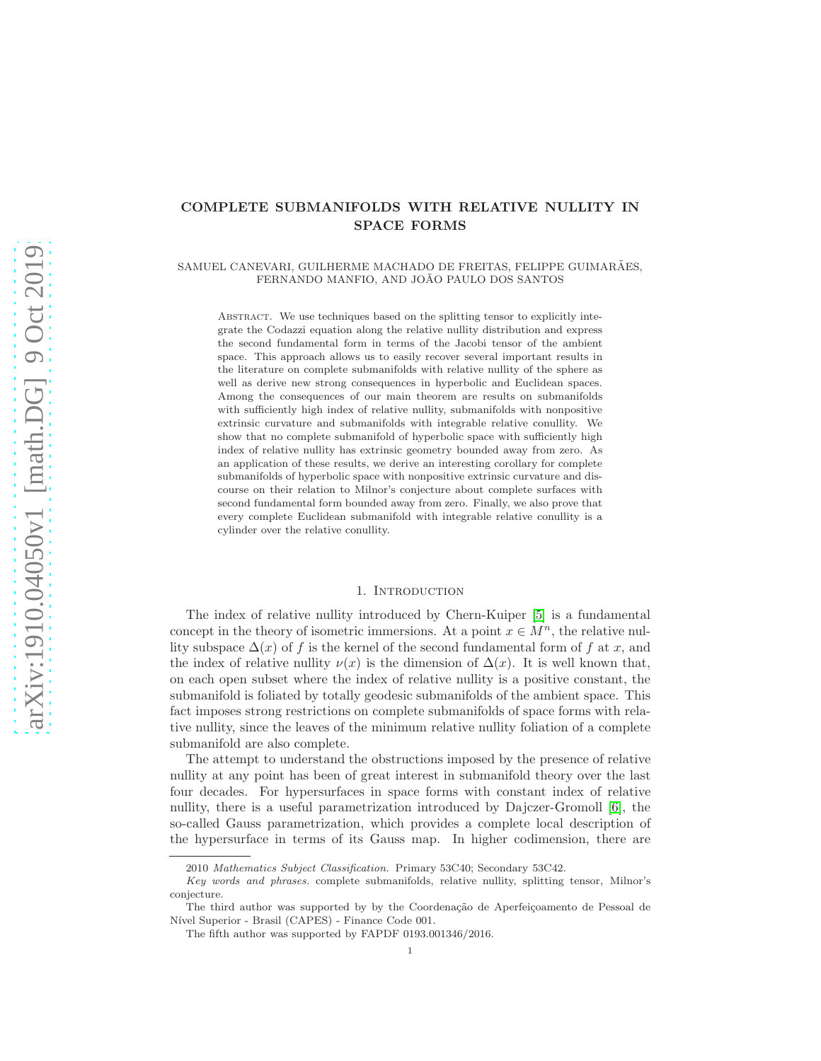# COMPLETE SUBMANIFOLDS WITH RELATIVE NULLITY IN SPACE FORMS

### SAMUEL CANEVARI, GUILHERME MACHADO DE FREITAS, FELIPPE GUIMARÃES, FERNANDO MANFIO, AND JOÃO PAULO DOS SANTOS

Abstract. We use techniques based on the splitting tensor to explicitly integrate the Codazzi equation along the relative nullity distribution and express the second fundamental form in terms of the Jacobi tensor of the ambient space. This approach allows us to easily recover several important results in the literature on complete submanifolds with relative nullity of the sphere as well as derive new strong consequences in hyperbolic and Euclidean spaces. Among the consequences of our main theorem are results on submanifolds with sufficiently high index of relative nullity, submanifolds with nonpositive extrinsic curvature and submanifolds with integrable relative conullity. We show that no complete submanifold of hyperbolic space with sufficiently high index of relative nullity has extrinsic geometry bounded away from zero. As an application of these results, we derive an interesting corollary for complete submanifolds of hyperbolic space with nonpositive extrinsic curvature and discourse on their relation to Milnor's conjecture about complete surfaces with second fundamental form bounded away from zero. Finally, we also prove that every complete Euclidean submanifold with integrable relative conullity is a cylinder over the relative conullity.

### 1. INTRODUCTION

The index of relative nullity introduced by Chern-Kuiper [\[5\]](#page-8-0) is a fundamental concept in the theory of isometric immersions. At a point  $x \in M^n$ , the relative nullity subspace  $\Delta(x)$  of f is the kernel of the second fundamental form of f at x, and the index of relative nullity  $\nu(x)$  is the dimension of  $\Delta(x)$ . It is well known that, on each open subset where the index of relative nullity is a positive constant, the submanifold is foliated by totally geodesic submanifolds of the ambient space. This fact imposes strong restrictions on complete submanifolds of space forms with relative nullity, since the leaves of the minimum relative nullity foliation of a complete submanifold are also complete.

The attempt to understand the obstructions imposed by the presence of relative nullity at any point has been of great interest in submanifold theory over the last four decades. For hypersurfaces in space forms with constant index of relative nullity, there is a useful parametrization introduced by Dajczer-Gromoll [\[6\]](#page-8-1), the so-called Gauss parametrization, which provides a complete local description of the hypersurface in terms of its Gauss map. In higher codimension, there are

<sup>2010</sup> Mathematics Subject Classification. Primary 53C40; Secondary 53C42.

Key words and phrases. complete submanifolds, relative nullity, splitting tensor, Milnor's conjecture.

The third author was supported by by the Coordenação de Aperfeiçoamento de Pessoal de Nível Superior - Brasil (CAPES) - Finance Code 001.

The fifth author was supported by FAPDF 0193.001346/2016.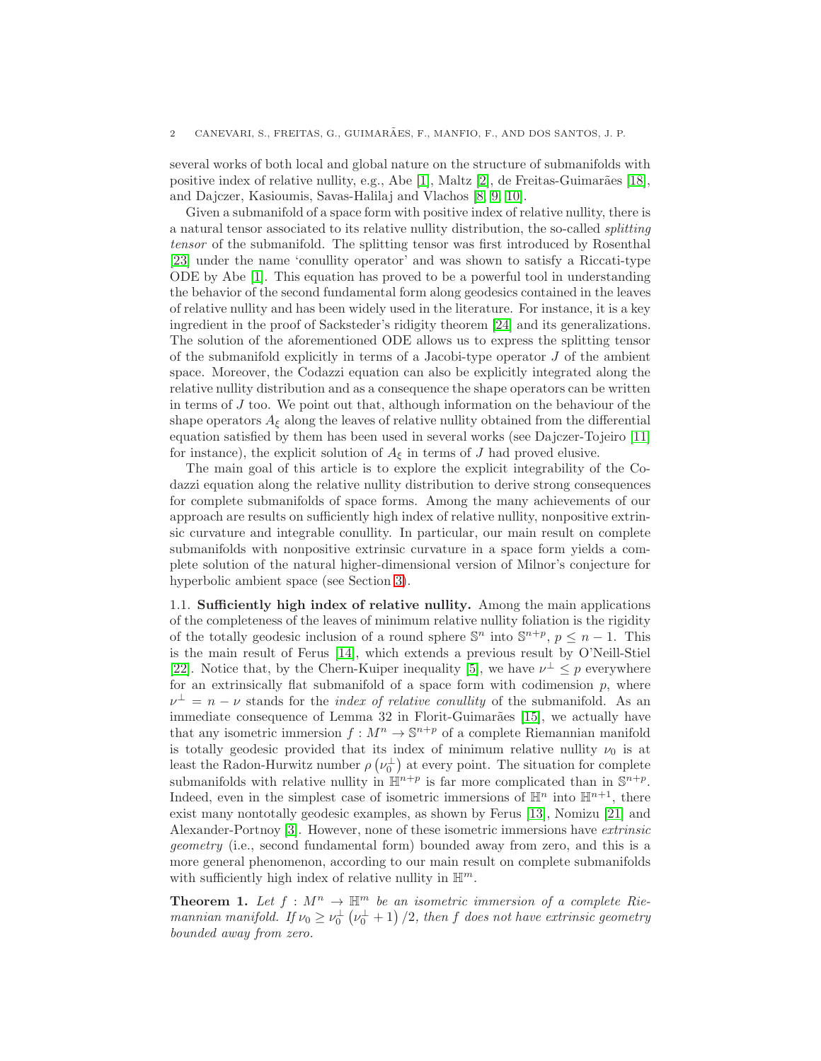several works of both local and global nature on the structure of submanifolds with positive index of relative nullity, e.g., Abe [\[1\]](#page-8-2), Maltz [\[2\]](#page-8-3), de Freitas-Guimarães [\[18\]](#page-9-0), and Dajczer, Kasioumis, Savas-Halilaj and Vlachos [\[8,](#page-9-1) [9,](#page-9-2) [10\]](#page-9-3).

Given a submanifold of a space form with positive index of relative nullity, there is a natural tensor associated to its relative nullity distribution, the so-called splitting tensor of the submanifold. The splitting tensor was first introduced by Rosenthal [\[23\]](#page-9-4) under the name 'conullity operator' and was shown to satisfy a Riccati-type ODE by Abe [\[1\]](#page-8-2). This equation has proved to be a powerful tool in understanding the behavior of the second fundamental form along geodesics contained in the leaves of relative nullity and has been widely used in the literature. For instance, it is a key ingredient in the proof of Sacksteder's ridigity theorem [\[24\]](#page-9-5) and its generalizations. The solution of the aforementioned ODE allows us to express the splitting tensor of the submanifold explicitly in terms of a Jacobi-type operator  $J$  of the ambient space. Moreover, the Codazzi equation can also be explicitly integrated along the relative nullity distribution and as a consequence the shape operators can be written in terms of  $J$  too. We point out that, although information on the behaviour of the shape operators  $A_{\xi}$  along the leaves of relative nullity obtained from the differential equation satisfied by them has been used in several works (see Dajczer-Tojeiro [\[11\]](#page-9-6) for instance), the explicit solution of  $A_{\xi}$  in terms of J had proved elusive.

The main goal of this article is to explore the explicit integrability of the Codazzi equation along the relative nullity distribution to derive strong consequences for complete submanifolds of space forms. Among the many achievements of our approach are results on sufficiently high index of relative nullity, nonpositive extrinsic curvature and integrable conullity. In particular, our main result on complete submanifolds with nonpositive extrinsic curvature in a space form yields a complete solution of the natural higher-dimensional version of Milnor's conjecture for hyperbolic ambient space (see Section [3\)](#page-7-0).

1.1. Sufficiently high index of relative nullity. Among the main applications of the completeness of the leaves of minimum relative nullity foliation is the rigidity of the totally geodesic inclusion of a round sphere  $\mathbb{S}^n$  into  $\mathbb{S}^{n+p}$ ,  $p \leq n-1$ . This is the main result of Ferus [\[14\]](#page-9-7), which extends a previous result by O'Neill-Stiel [\[22\]](#page-9-8). Notice that, by the Chern-Kuiper inequality [\[5\]](#page-8-0), we have  $\nu^{\perp} \leq p$  everywhere for an extrinsically flat submanifold of a space form with codimension  $p$ , where  $\nu^{\perp} = n - \nu$  stands for the *index of relative conullity* of the submanifold. As an immediate consequence of Lemma 32 in Florit-Guimarães [\[15\]](#page-9-9), we actually have that any isometric immersion  $f : M^n \to \mathbb{S}^{n+p}$  of a complete Riemannian manifold is totally geodesic provided that its index of minimum relative nullity  $\nu_0$  is at least the Radon-Hurwitz number  $\rho(\nu_0^{\perp})$  at every point. The situation for complete submanifolds with relative nullity in  $\mathbb{H}^{n+p}$  is far more complicated than in  $\mathbb{S}^{n+p}$ . Indeed, even in the simplest case of isometric immersions of  $\mathbb{H}^n$  into  $\mathbb{H}^{n+1}$ , there exist many nontotally geodesic examples, as shown by Ferus [\[13\]](#page-9-10), Nomizu [\[21\]](#page-9-11) and Alexander-Portnoy [\[3\]](#page-8-4). However, none of these isometric immersions have extrinsic geometry (i.e., second fundamental form) bounded away from zero, and this is a more general phenomenon, according to our main result on complete submanifolds with sufficiently high index of relative nullity in  $\mathbb{H}^m$ .

<span id="page-1-0"></span>**Theorem 1.** Let  $f : M^n \to \mathbb{H}^m$  be an isometric immersion of a complete Riemannian manifold. If  $\nu_0 \ge \nu_0^{\perp}(\nu_0^{\perp}+1)/2$ , then f does not have extrinsic geometry bounded away from zero.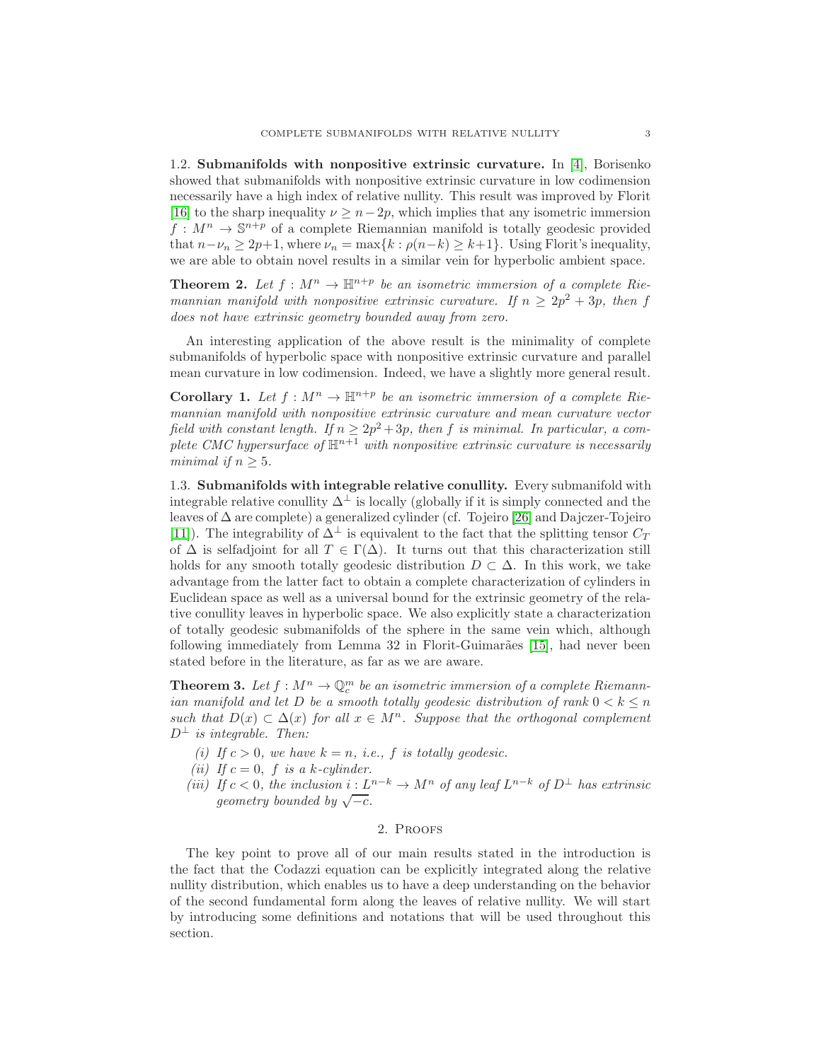1.2. Submanifolds with nonpositive extrinsic curvature. In [\[4\]](#page-8-5), Borisenko showed that submanifolds with nonpositive extrinsic curvature in low codimension necessarily have a high index of relative nullity. This result was improved by Florit [\[16\]](#page-9-12) to the sharp inequality  $\nu \geq n-2p$ , which implies that any isometric immersion  $f: M^n \to \mathbb{S}^{n+p}$  of a complete Riemannian manifold is totally geodesic provided that  $n-\nu_n \geq 2p+1$ , where  $\nu_n = \max\{k : \rho(n-k) \geq k+1\}$ . Using Florit's inequality, we are able to obtain novel results in a similar vein for hyperbolic ambient space.

<span id="page-2-0"></span>**Theorem 2.** Let  $f : M^n \to \mathbb{H}^{n+p}$  be an isometric immersion of a complete Riemannian manifold with nonpositive extrinsic curvature. If  $n \geq 2p^2 + 3p$ , then f does not have extrinsic geometry bounded away from zero.

An interesting application of the above result is the minimality of complete submanifolds of hyperbolic space with nonpositive extrinsic curvature and parallel mean curvature in low codimension. Indeed, we have a slightly more general result.

<span id="page-2-1"></span>**Corollary 1.** Let  $f : M^n \to \mathbb{H}^{n+p}$  be an isometric immersion of a complete Riemannian manifold with nonpositive extrinsic curvature and mean curvature vector field with constant length. If  $n \geq 2p^2 + 3p$ , then f is minimal. In particular, a complete CMC hypersurface of  $\mathbb{H}^{n+1}$  with nonpositive extrinsic curvature is necessarily minimal if  $n \geq 5$ .

1.3. Submanifolds with integrable relative conullity. Every submanifold with integrable relative conullity  $\Delta^{\perp}$  is locally (globally if it is simply connected and the leaves of ∆ are complete) a generalized cylinder (cf. Tojeiro [\[26\]](#page-9-13) and Dajczer-Tojeiro [\[11\]](#page-9-6)). The integrability of  $\Delta^{\perp}$  is equivalent to the fact that the splitting tensor  $C_T$ of  $\Delta$  is selfadjoint for all  $T \in \Gamma(\Delta)$ . It turns out that this characterization still holds for any smooth totally geodesic distribution  $D \subset \Delta$ . In this work, we take advantage from the latter fact to obtain a complete characterization of cylinders in Euclidean space as well as a universal bound for the extrinsic geometry of the relative conullity leaves in hyperbolic space. We also explicitly state a characterization of totally geodesic submanifolds of the sphere in the same vein which, although following immediately from Lemma 32 in Florit-Guimarães [\[15\]](#page-9-9), had never been stated before in the literature, as far as we are aware.

<span id="page-2-2"></span>**Theorem 3.** Let  $f : M^n \to \mathbb{Q}_c^m$  be an isometric immersion of a complete Riemannian manifold and let D be a smooth totally geodesic distribution of rank  $0 < k \leq n$ such that  $D(x) \subset \Delta(x)$  for all  $x \in M^n$ . Suppose that the orthogonal complement  $D^{\perp}$  is integrable. Then:

- (i) If  $c > 0$ , we have  $k = n$ , i.e., f is totally geodesic.
- (ii) If  $c = 0$ , f is a k-cylinder.
- (iii) If  $c < 0$ , the inclusion  $i: L^{n-k} \to M^n$  of any leaf  $L^{n-k}$  of  $D^{\perp}$  has extrinsic geometry bounded by  $\sqrt{-c}$ .

## 2. Proofs

The key point to prove all of our main results stated in the introduction is the fact that the Codazzi equation can be explicitly integrated along the relative nullity distribution, which enables us to have a deep understanding on the behavior of the second fundamental form along the leaves of relative nullity. We will start by introducing some definitions and notations that will be used throughout this section.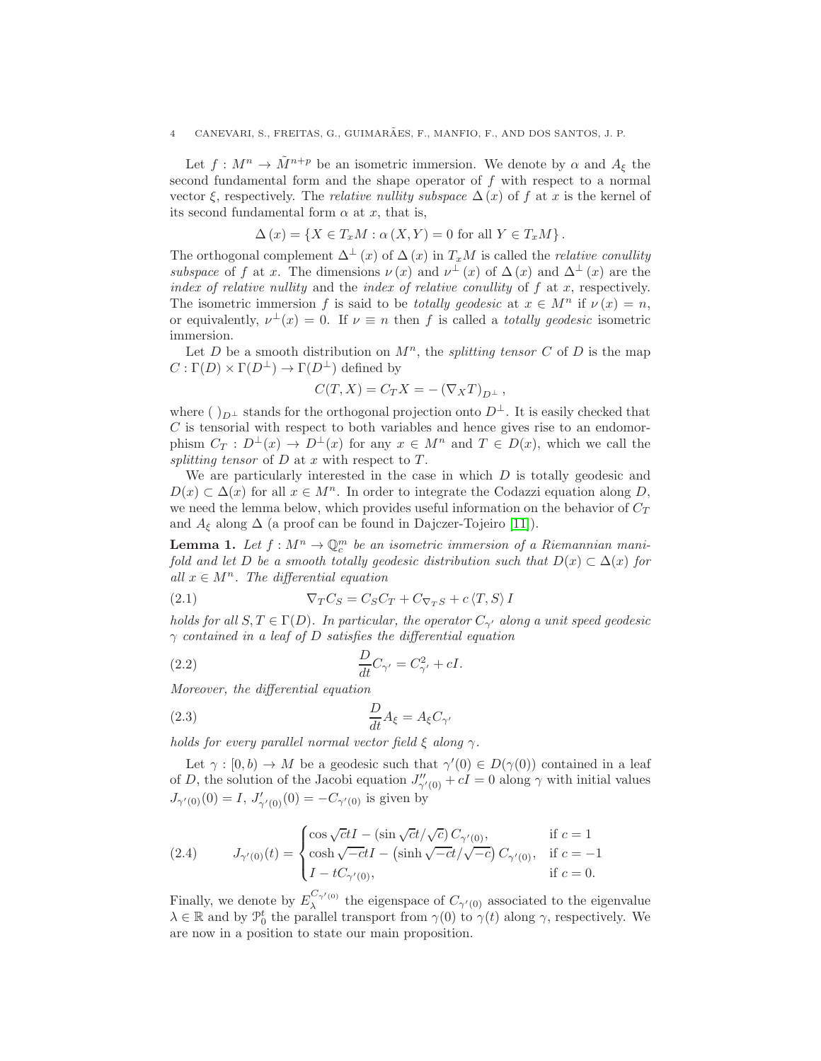### 4 CANEVARI, S., FREITAS, G., GUIMARÃES, F., MANFIO, F., AND DOS SANTOS, J. P.

Let  $f: M^n \to \tilde{M}^{n+p}$  be an isometric immersion. We denote by  $\alpha$  and  $A_{\xi}$  the second fundamental form and the shape operator of  $f$  with respect to a normal vector  $\xi$ , respectively. The *relative nullity subspace*  $\Delta(x)$  of f at x is the kernel of its second fundamental form  $\alpha$  at x, that is,

$$
\Delta(x) = \{ X \in T_x M : \alpha(X, Y) = 0 \text{ for all } Y \in T_x M \}.
$$

The orthogonal complement  $\Delta^{\perp}(x)$  of  $\Delta(x)$  in  $T_xM$  is called the *relative conullity* subspace of f at x. The dimensions  $\nu(x)$  and  $\nu^{\perp}(x)$  of  $\Delta(x)$  and  $\Delta^{\perp}(x)$  are the index of relative nullity and the index of relative conullity of  $f$  at  $x$ , respectively. The isometric immersion f is said to be *totally geodesic* at  $x \in M^n$  if  $\nu(x) = n$ , or equivalently,  $\nu^{\perp}(x) = 0$ . If  $\nu \equiv n$  then f is called a *totally geodesic* isometric immersion.

Let D be a smooth distribution on  $M<sup>n</sup>$ , the splitting tensor C of D is the map  $C: \Gamma(D) \times \Gamma(D^{\perp}) \to \Gamma(D^{\perp})$  defined by

$$
C(T, X) = C_T X = -(\nabla_X T)_{D^{\perp}},
$$

where ( )<sub>D</sub>⊥ stands for the orthogonal projection onto  $D^{\perp}$ . It is easily checked that  $C$  is tensorial with respect to both variables and hence gives rise to an endomorphism  $C_T : D^{\perp}(x) \to D^{\perp}(x)$  for any  $x \in M^n$  and  $T \in D(x)$ , which we call the splitting tensor of  $D$  at  $x$  with respect to  $T$ .

We are particularly interested in the case in which  $D$  is totally geodesic and  $D(x) \subset \Delta(x)$  for all  $x \in M^n$ . In order to integrate the Codazzi equation along D, we need the lemma below, which provides useful information on the behavior of  $C_T$ and  $A_{\xi}$  along  $\Delta$  (a proof can be found in Dajczer-Tojeiro [\[11\]](#page-9-6)).

**Lemma 1.** Let  $f : M^n \to \mathbb{Q}_c^m$  be an isometric immersion of a Riemannian manifold and let D be a smooth totally geodesic distribution such that  $D(x) \subset \Delta(x)$  for all  $x \in M^n$ . The differential equation

<span id="page-3-2"></span>(2.1) 
$$
\nabla_T C_S = C_S C_T + C_{\nabla_T S} + c \langle T, S \rangle I
$$

holds for all  $S, T \in \Gamma(D)$ . In particular, the operator  $C_{\gamma'}$  along a unit speed geodesic  $\gamma$  contained in a leaf of D satisfies the differential equation

<span id="page-3-0"></span>(2.2) 
$$
\frac{D}{dt}C_{\gamma'} = C_{\gamma'}^2 + cI.
$$

Moreover, the differential equation

<span id="page-3-1"></span>
$$
\frac{D}{dt}A_{\xi} = A_{\xi}C_{\gamma'}
$$

holds for every parallel normal vector field  $\xi$  along  $\gamma$ .

Let  $\gamma : [0, b) \to M$  be a geodesic such that  $\gamma'(0) \in D(\gamma(0))$  contained in a leaf of D, the solution of the Jacobi equation  $J''_{\gamma'(0)} + cI = 0$  along  $\gamma$  with initial values  $J_{\gamma'(0)}(0) = I, J'_{\gamma'(0)}(0) = -C_{\gamma'(0)}$  is given by

(2.4) 
$$
J_{\gamma'(0)}(t) = \begin{cases} \cos\sqrt{c}tI - (\sin\sqrt{c}t/\sqrt{c}) C_{\gamma'(0)}, & \text{if } c = 1\\ \cosh\sqrt{-c}tI - (\sinh\sqrt{-c}t/\sqrt{-c}) C_{\gamma'(0)}, & \text{if } c = -1\\ I - tC_{\gamma'(0)}, & \text{if } c = 0. \end{cases}
$$

Finally, we denote by  $E_{\lambda}^{C_{\gamma'}(0)}$  $\lambda^{\gamma'(0)}$  the eigenspace of  $C_{\gamma'(0)}$  associated to the eigenvalue  $\lambda \in \mathbb{R}$  and by  $\mathcal{P}_0^t$  the parallel transport from  $\gamma(0)$  to  $\gamma(t)$  along  $\gamma$ , respectively. We are now in a position to state our main proposition.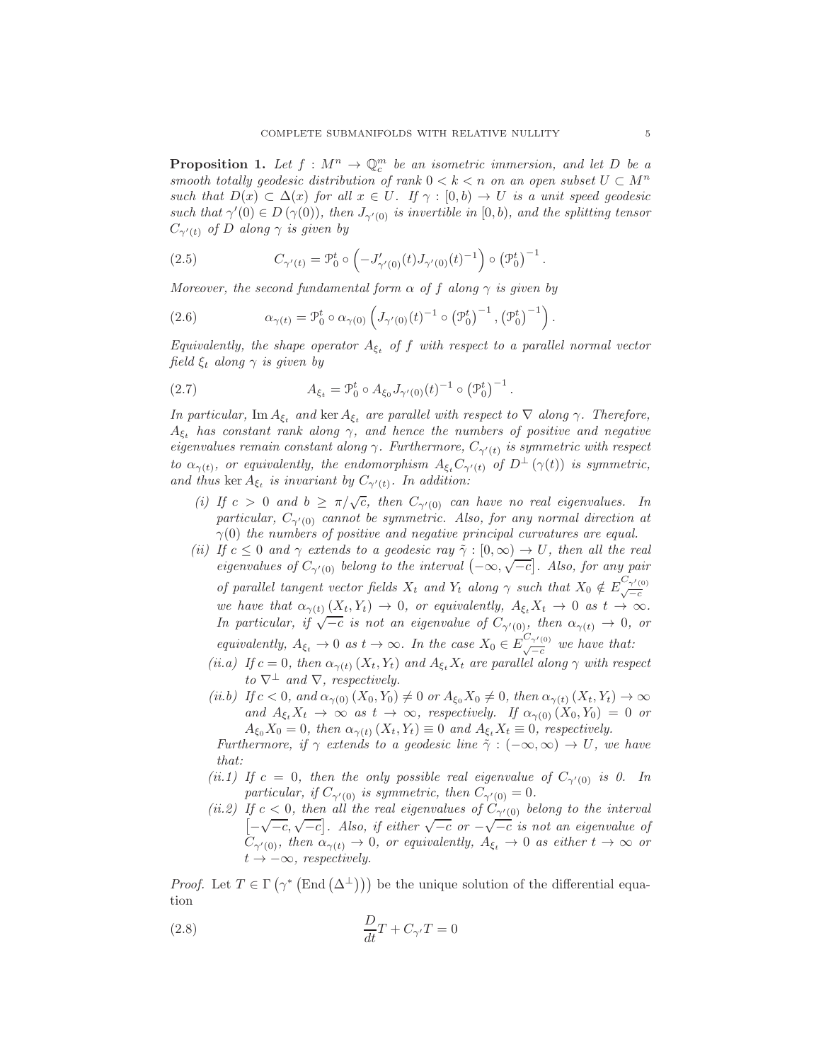<span id="page-4-4"></span>**Proposition 1.** Let  $f : M^n \to \mathbb{Q}_c^m$  be an isometric immersion, and let D be a smooth totally geodesic distribution of rank  $0 < k < n$  on an open subset  $U \subset M^n$ such that  $D(x) \subset \Delta(x)$  for all  $x \in U$ . If  $\gamma : [0, b) \to U$  is a unit speed geodesic such that  $\gamma'(0) \in D(\gamma(0))$ , then  $J_{\gamma'(0)}$  is invertible in  $[0, b)$ , and the splitting tensor  $C_{\gamma'(t)}$  of D along  $\gamma$  is given by

<span id="page-4-1"></span>(2.5) 
$$
C_{\gamma'(t)} = \mathcal{P}_0^t \circ \left( -J'_{\gamma'(0)}(t) J_{\gamma'(0)}(t)^{-1} \right) \circ \left( \mathcal{P}_0^t \right)^{-1}.
$$

Moreover, the second fundamental form  $\alpha$  of f along  $\gamma$  is given by

<span id="page-4-3"></span>(2.6) 
$$
\alpha_{\gamma(t)} = \mathcal{P}_0^t \circ \alpha_{\gamma(0)} \left( J_{\gamma'(0)}(t)^{-1} \circ (\mathcal{P}_0^t)^{-1}, (\mathcal{P}_0^t)^{-1} \right).
$$

Equivalently, the shape operator  $A_{\xi_t}$  of f with respect to a parallel normal vector field  $\xi_t$  along  $\gamma$  is given by

.

<span id="page-4-2"></span>(2.7) 
$$
A_{\xi_t} = \mathcal{P}_0^t \circ A_{\xi_0} J_{\gamma'(0)}(t)^{-1} \circ (\mathcal{P}_0^t)^{-1}
$$

In particular, Im  $A_{\xi_t}$  and ker  $A_{\xi_t}$  are parallel with respect to  $\nabla$  along  $\gamma$ . Therefore,  $A_{\xi_t}$  has constant rank along  $\gamma$ , and hence the numbers of positive and negative eigenvalues remain constant along  $\gamma$ . Furthermore,  $C_{\gamma'(t)}$  is symmetric with respect to  $\alpha_{\gamma(t)}$ , or equivalently, the endomorphism  $A_{\xi_t}C_{\gamma'(t)}$  of  $D^{\perp}(\gamma(t))$  is symmetric, and thus ker  $A_{\xi_t}$  is invariant by  $C_{\gamma'(t)}$ . In addition:

- (i) If  $c > 0$  and  $b \ge \pi/\sqrt{c}$ , then  $C_{\gamma'(0)}$  can have no real eigenvalues. In particular,  $C_{\gamma'(0)}$  cannot be symmetric. Also, for any normal direction at  $\gamma(0)$  the numbers of positive and negative principal curvatures are equal.
- (ii) If  $c \leq 0$  and  $\gamma$  extends to a geodesic ray  $\tilde{\gamma} : [0, \infty) \to U$ , then all the real eigenvalues of  $C_{\gamma'(0)}$  belong to the interval  $(-\infty, \sqrt{-c}]$ . Also, for any pair of parallel tangent vector fields  $X_t$  and  $Y_t$  along  $\gamma$  such that  $X_0 \notin E^{C_{\gamma'(0)}}_{\sqrt{-c}}$ we have that  $\alpha_{\gamma(t)}(X_t, Y_t) \to 0$ , or equivalently,  $A_{\xi_t}X_t \to 0$  as  $t \to \infty$ . In particular, if  $\sqrt{-c}$  is not an eigenvalue of  $C_{\gamma'(0)}$ , then  $\alpha_{\gamma(t)} \to 0$ , or equivalently,  $A_{\xi_t} \to 0$  as  $t \to \infty$ . In the case  $X_0 \in E_{\sqrt{\xi_t}}^{C_{\gamma'(0)}}$  we have that:
	- (ii.a) If  $c = 0$ , then  $\alpha_{\gamma(t)}(X_t, Y_t)$  and  $A_{\xi_t}X_t$  are parallel along  $\gamma$  with respect to  $\nabla^{\perp}$  and  $\nabla$ , respectively.
	- (ii.b) If  $c < 0$ , and  $\alpha_{\gamma(0)}(X_0, Y_0) \neq 0$  or  $A_{\xi_0}X_0 \neq 0$ , then  $\alpha_{\gamma(t)}(X_t, Y_t) \to \infty$ and  $A_{\xi_t}X_t \to \infty$  as  $t \to \infty$ , respectively. If  $\alpha_{\gamma(0)}(X_0, Y_0) = 0$  or  $A_{\xi_0}X_0 = 0$ , then  $\alpha_{\gamma(t)}(X_t, Y_t) \equiv 0$  and  $A_{\xi_t}X_t \equiv 0$ , respectively.

Furthermore, if  $\gamma$  extends to a geodesic line  $\tilde{\gamma}: (-\infty, \infty) \to U$ , we have that:

- (ii.1) If  $c = 0$ , then the only possible real eigenvalue of  $C_{\gamma'(0)}$  is 0. In particular, if  $C_{\gamma'(0)}$  is symmetric, then  $C_{\gamma'(0)} = 0$ .
- (ii.2) If  $c < 0$ , then all the real eigenvalues of  $C_{\gamma'(0)}$  belong to the interval  $\left[-\sqrt{-c},\sqrt{-c}\right]$ . Also, if either  $\sqrt{-c}$  or  $-\sqrt{-c}$  is not an eigenvalue of  $C_{\gamma'(0)}$ , then  $\alpha_{\gamma(t)} \to 0$ , or equivalently,  $A_{\xi_t} \to 0$  as either  $t \to \infty$  or  $t \rightarrow -\infty$ , respectively.

*Proof.* Let  $T \in \Gamma(\gamma^* (\text{End}(\Delta^{\perp})) )$  be the unique solution of the differential equation

<span id="page-4-0"></span>(2.8) 
$$
\frac{D}{dt}T + C_{\gamma'}T = 0
$$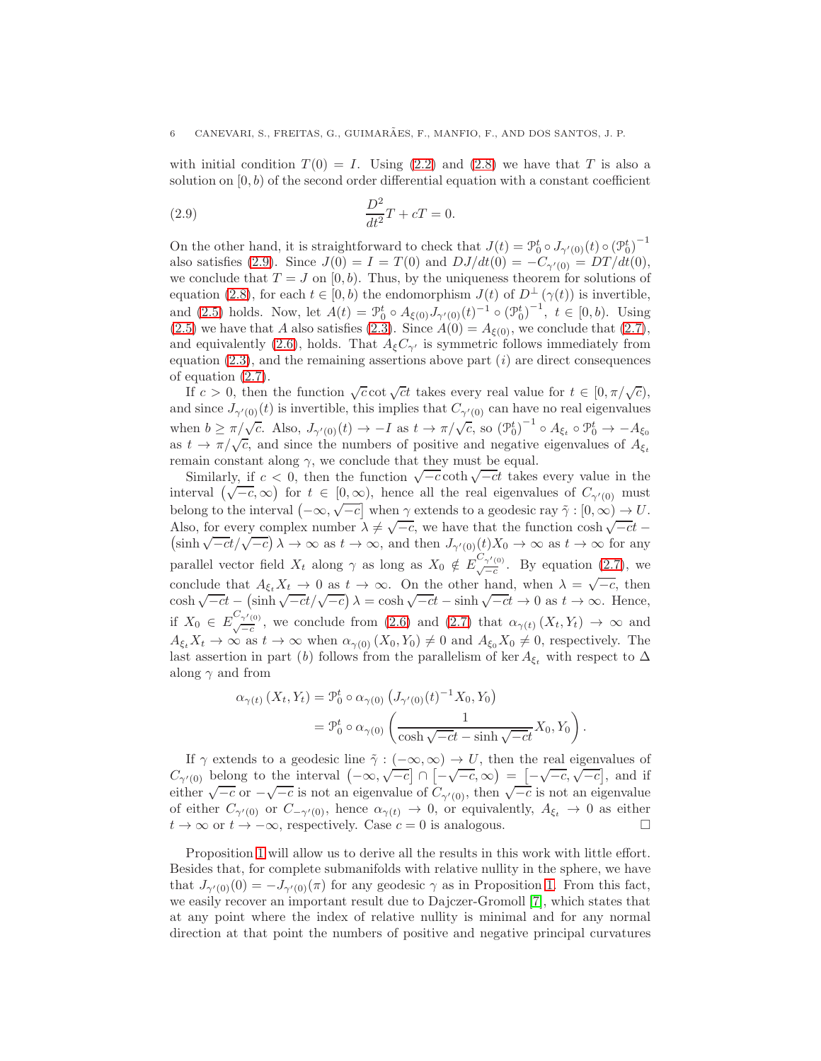with initial condition  $T(0) = I$ . Using [\(2.2\)](#page-3-0) and [\(2.8\)](#page-4-0) we have that T is also a solution on  $[0, b)$  of the second order differential equation with a constant coefficient

<span id="page-5-0"></span>(2.9) 
$$
\frac{D^2}{dt^2}T + cT = 0.
$$

On the other hand, it is straightforward to check that  $J(t) = \mathcal{P}_0^t \circ J_{\gamma'(0)}(t) \circ (\mathcal{P}_0^t)^{-1}$ also satisfies [\(2.9\)](#page-5-0). Since  $J(0) = I = T(0)$  and  $DJ/dt(0) = -C_{\gamma'(0)} = DT/dt(0)$ , we conclude that  $T = J$  on  $[0, b)$ . Thus, by the uniqueness theorem for solutions of equation [\(2.8\)](#page-4-0), for each  $t \in [0, b)$  the endomorphism  $J(t)$  of  $D^{\perp}(\gamma(t))$  is invertible, and [\(2.5\)](#page-4-1) holds. Now, let  $A(t) = \mathcal{P}_0^t \circ A_{\xi(0)} J_{\gamma'(0)}(t)^{-1} \circ (\mathcal{P}_0^t)^{-1}, t \in [0, b)$ . Using [\(2.5\)](#page-4-1) we have that A also satisfies [\(2.3\)](#page-3-1). Since  $A(0) = A_{\xi(0)}$ , we conclude that [\(2.7\)](#page-4-2), and equivalently [\(2.6\)](#page-4-3), holds. That  $A_{\xi}C_{\gamma'}$  is symmetric follows immediately from equation  $(2.3)$ , and the remaining assertions above part  $(i)$  are direct consequences of equation [\(2.7\)](#page-4-2).

If  $c > 0$ , then the function  $\sqrt{c} \cot \sqrt{c}t$  takes every real value for  $t \in [0, \pi/\sqrt{c})$ , and since  $J_{\gamma'(0)}(t)$  is invertible, this implies that  $C_{\gamma'(0)}$  can have no real eigenvalues when  $b \ge \pi/\sqrt{c}$ . Also,  $J_{\gamma'(0)}(t) \to -I$  as  $t \to \pi/\sqrt{c}$ , so  $(\mathcal{P}_0^t)^{-1} \circ A_{\xi_t} \circ \mathcal{P}_0^t \to -A_{\xi_0}$ as  $t \to \pi/\sqrt{c}$ , and since the numbers of positive and negative eigenvalues of  $A_{\xi_t}$ remain constant along  $\gamma$ , we conclude that they must be equal.

Similarly, if  $c < 0$ , then the function  $\sqrt{-c} \coth \sqrt{-c}t$  takes every value in the interval  $(\sqrt{-c}, \infty)$  for  $t \in [0, \infty)$ , hence all the real eigenvalues of  $C_{\gamma'(0)}$  must belong to the interval  $(-\infty, \sqrt{-c}]$  when  $\gamma$  extends to a geodesic ray  $\tilde{\gamma}: [0, \infty) \to U$ . Also, for every complex number  $\lambda \neq \sqrt{-c}$ , we have that the function cosh  $\sqrt{}$ Also, for every complex number  $\lambda \neq \sqrt{-c}$ , we have that the function  $\cosh \sqrt{-ct} - (\sinh \sqrt{-ct}/\sqrt{-c}) \lambda \to \infty$  as  $t \to \infty$ , and then  $J_{\gamma'(0)}(t)X_0 \to \infty$  as  $t \to \infty$  for any parallel vector field  $X_t$  along  $\gamma$  as long as  $X_0 \notin E^{C_{\gamma'(0)}}_{\sqrt{-c}}$ . By equation  $(2.7)$ , we conclude that  $A_{\xi_t}X_t \to 0$  as  $t \to \infty$ . On the other hand, when  $\lambda = \sqrt{-c}$ , then  $\cosh \sqrt{-ct} - (\sinh \sqrt{-ct}/\sqrt{-c}) \lambda = \cosh \sqrt{-ct} - \sinh \sqrt{-ct} \to 0$  as  $t \to \infty$ . Hence, if  $X_0 \in E^{\mathcal{C}_{\gamma'(0)}}_{\sqrt{-c}}$ , we conclude from [\(2.6\)](#page-4-3) and [\(2.7\)](#page-4-2) that  $\alpha_{\gamma(t)}(X_t, Y_t) \to \infty$  and  $A_{\xi_t}X_t \to \infty$  as  $t \to \infty$  when  $\alpha_{\gamma(0)}(X_0, Y_0) \neq 0$  and  $A_{\xi_0}X_0 \neq 0$ , respectively. The last assertion in part (b) follows from the parallelism of ker  $A_{\epsilon}$ , with respect to  $\Delta$ along  $\gamma$  and from

$$
\alpha_{\gamma(t)}(X_t, Y_t) = \mathcal{P}_0^t \circ \alpha_{\gamma(0)} \left( J_{\gamma'(0)}(t)^{-1} X_0, Y_0 \right)
$$
  
= 
$$
\mathcal{P}_0^t \circ \alpha_{\gamma(0)} \left( \frac{1}{\cosh \sqrt{-ct} - \sinh \sqrt{-ct}} X_0, Y_0 \right).
$$

If  $\gamma$  extends to a geodesic line  $\tilde{\gamma}: (-\infty, \infty) \to U$ , then the real eigenvalues of  $C_{\gamma'(0)}$  belong to the interval  $(-\infty, \sqrt{-c}] \cap [-\sqrt{-c}, \infty) = [-\sqrt{-c}, \sqrt{-c}]$ , and if either  $\sqrt{-c}$  or  $-\sqrt{-c}$  is not an eigenvalue of  $C_{\gamma'(0)}$ , then  $\sqrt{-c}$  is not an eigenvalue of either  $C_{\gamma'(0)}$  or  $C_{-\gamma'(0)}$ , hence  $\alpha_{\gamma(t)} \to 0$ , or equivalently,  $A_{\xi_t} \to 0$  as either  $t \to \infty$  or  $t \to -\infty$  respectively Case  $c = 0$  is analogous  $t \to \infty$  or  $t \to -\infty$ , respectively. Case  $c = 0$  is analogous.

Proposition [1](#page-4-4) will allow us to derive all the results in this work with little effort. Besides that, for complete submanifolds with relative nullity in the sphere, we have that  $J_{\gamma'(0)}(0) = -J_{\gamma'(0)}(\pi)$  for any geodesic  $\gamma$  as in Proposition [1.](#page-4-4) From this fact, we easily recover an important result due to Dajczer-Gromoll [\[7\]](#page-8-6), which states that at any point where the index of relative nullity is minimal and for any normal direction at that point the numbers of positive and negative principal curvatures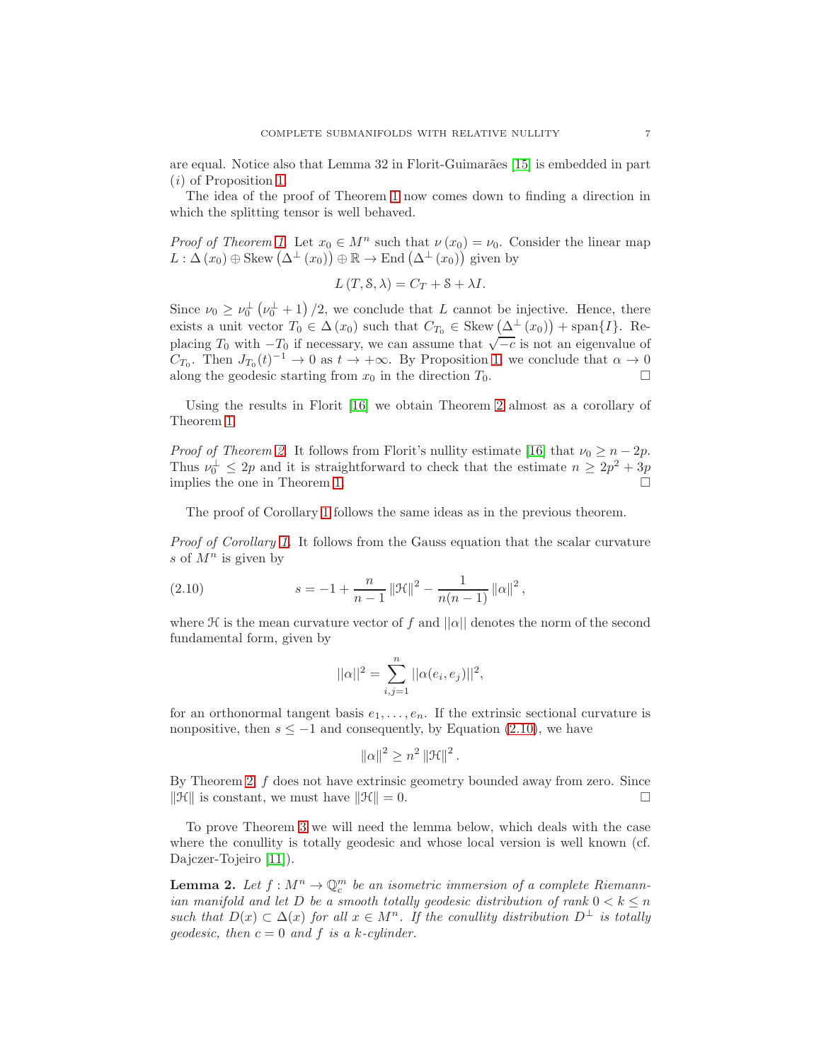are equal. Notice also that Lemma 32 in Florit-Guimarães [\[15\]](#page-9-9) is embedded in part (i) of Proposition [1.](#page-4-4)

The idea of the proof of Theorem [1](#page-1-0) now comes down to finding a direction in which the splitting tensor is well behaved.

*Proof of Theorem [1.](#page-1-0)* Let  $x_0 \in M^n$  such that  $\nu(x_0) = \nu_0$ . Consider the linear map  $L : \Delta(x_0) \oplus \text{Skew}(\Delta^{\perp}(x_0)) \oplus \mathbb{R} \to \text{End}(\Delta^{\perp}(x_0))$  given by

$$
L(T, \mathcal{S}, \lambda) = C_T + \mathcal{S} + \lambda I.
$$

Since  $\nu_0 \ge \nu_0^{\perp}(\nu_0^{\perp}+1)/2$ , we conclude that L cannot be injective. Hence, there exists a unit vector  $T_0 \in \Delta(x_0)$  such that  $C_{T_0} \in \text{Skew}(\Delta^{\perp}(x_0)) + \text{span}\{I\}$ . Replacing  $T_0$  with  $-T_0$  if necessary, we can assume that  $\sqrt{-c}$  is not an eigenvalue of  $C_{T_0}$ . Then  $J_{T_0}(t)^{-1} \to 0$  as  $t \to +\infty$ . By Proposition [1,](#page-4-4) we conclude that  $\alpha \to 0$ along the geodesic starting from  $x_0$  in the direction  $T_0$ .

Using the results in Florit [\[16\]](#page-9-12) we obtain Theorem [2](#page-2-0) almost as a corollary of Theorem [1.](#page-1-0)

*Proof of Theorem [2.](#page-2-0)* It follows from Florit's nullity estimate [\[16\]](#page-9-12) that  $\nu_0 \geq n-2p$ . Thus  $\nu_0^{\perp} \leq 2p$  and it is straightforward to check that the estimate  $n \geq 2p^2 + 3p$ implies the one in Theorem [1.](#page-1-0)

The proof of Corollary [1](#page-2-1) follows the same ideas as in the previous theorem.

Proof of Corollary [1.](#page-2-1) It follows from the Gauss equation that the scalar curvature s of  $M^n$  is given by

(2.10) 
$$
s = -1 + \frac{n}{n-1} ||\mathcal{H}||^2 - \frac{1}{n(n-1)} ||\alpha||^2,
$$

where  $\mathcal H$  is the mean curvature vector of f and  $||\alpha||$  denotes the norm of the second fundamental form, given by

<span id="page-6-0"></span>
$$
||\alpha||^2 = \sum_{i,j=1}^n ||\alpha(e_i, e_j)||^2,
$$

for an orthonormal tangent basis  $e_1, \ldots, e_n$ . If the extrinsic sectional curvature is nonpositive, then  $s \leq -1$  and consequently, by Equation [\(2.10\)](#page-6-0), we have

$$
\left\|\alpha\right\|^2 \geq n^2 \left\|\mathcal{H}\right\|^2.
$$

By Theorem [2,](#page-2-0) f does not have extrinsic geometry bounded away from zero. Since  $\|\mathcal{H}\|$  is constant, we must have  $\|\mathcal{H}\| = 0$ .

To prove Theorem [3](#page-2-2) we will need the lemma below, which deals with the case where the conullity is totally geodesic and whose local version is well known (cf. Dajczer-Tojeiro [\[11\]](#page-9-6)).

<span id="page-6-1"></span>**Lemma 2.** Let  $f: M^n \to \mathbb{Q}_c^m$  be an isometric immersion of a complete Riemannian manifold and let D be a smooth totally geodesic distribution of rank  $0 < k \leq n$ such that  $D(x) \subset \Delta(x)$  for all  $x \in M^n$ . If the conullity distribution  $D^{\perp}$  is totally geodesic, then  $c = 0$  and f is a k-cylinder.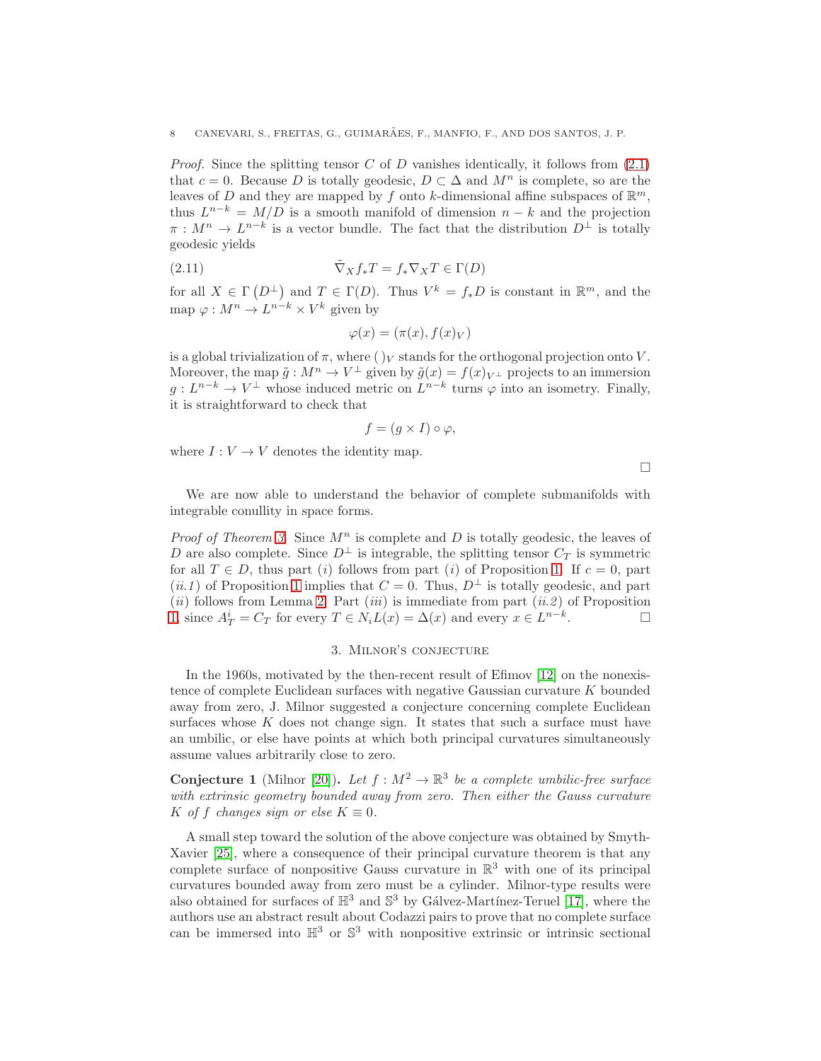*Proof.* Since the splitting tensor C of D vanishes identically, it follows from  $(2.1)$ that  $c = 0$ . Because D is totally geodesic,  $D \subset \Delta$  and  $M^n$  is complete, so are the leaves of D and they are mapped by f onto k-dimensional affine subspaces of  $\mathbb{R}^m$ , thus  $L^{n-k} = M/D$  is a smooth manifold of dimension  $n - k$  and the projection  $\pi : M^n \to L^{n-k}$  is a vector bundle. The fact that the distribution  $D^{\perp}$  is totally geodesic yields

(2.11) 
$$
\tilde{\nabla}_X f_* T = f_* \nabla_X T \in \Gamma(D)
$$

for all  $X \in \Gamma(D^{\perp})$  and  $T \in \Gamma(D)$ . Thus  $V^k = f_*D$  is constant in  $\mathbb{R}^m$ , and the map  $\varphi: M^n \to L^{n-k} \times V^k$  given by

$$
\varphi(x) = (\pi(x), f(x)_V)
$$

is a global trivialization of  $\pi$ , where  $(y<sub>V</sub>)$  stands for the orthogonal projection onto V. Moreover, the map  $\tilde{g}: M^n \to V^{\perp}$  given by  $\tilde{g}(x) = f(x)_{V^{\perp}}$  projects to an immersion  $g: L^{n-k} \to V^{\perp}$  whose induced metric on  $L^{n-k}$  turns  $\varphi$  into an isometry. Finally, it is straightforward to check that

$$
f = (g \times I) \circ \varphi,
$$

where  $I: V \to V$  denotes the identity map.

 $\Box$ 

We are now able to understand the behavior of complete submanifolds with integrable conullity in space forms.

*Proof of Theorem [3.](#page-2-2)* Since  $M^n$  is complete and D is totally geodesic, the leaves of D are also complete. Since  $D^{\perp}$  is integrable, the splitting tensor  $C_T$  is symmetric for all  $T \in D$ , thus part (i) follows from part (i) of Proposition [1.](#page-4-4) If  $c = 0$ , part  $(ii.1)$  of Proposition [1](#page-4-4) implies that  $C = 0$ . Thus,  $D^{\perp}$  is totally geodesic, and part (ii) follows from Lemma [2.](#page-6-1) Part (iii) is immediate from part (ii.2) of Proposition [1,](#page-4-4) since  $A_T^i = C_T$  for every  $T \in N_i L(x) = \Delta(x)$  and every  $x \in L^{n-k}$  $\Box$ 

### 3. Milnor's conjecture

<span id="page-7-0"></span>In the 1960s, motivated by the then-recent result of Efimov [\[12\]](#page-9-14) on the nonexistence of complete Euclidean surfaces with negative Gaussian curvature K bounded away from zero, J. Milnor suggested a conjecture concerning complete Euclidean surfaces whose  $K$  does not change sign. It states that such a surface must have an umbilic, or else have points at which both principal curvatures simultaneously assume values arbitrarily close to zero.

**Conjecture 1** (Milnor [\[20\]](#page-9-15)). Let  $f : M^2 \to \mathbb{R}^3$  be a complete umbilic-free surface with extrinsic geometry bounded away from zero. Then either the Gauss curvature K of f changes sign or else  $K \equiv 0$ .

A small step toward the solution of the above conjecture was obtained by Smyth-Xavier [\[25\]](#page-9-16), where a consequence of their principal curvature theorem is that any complete surface of nonpositive Gauss curvature in  $\mathbb{R}^3$  with one of its principal curvatures bounded away from zero must be a cylinder. Milnor-type results were also obtained for surfaces of  $\mathbb{H}^3$  and  $\mathbb{S}^3$  by Gálvez-Martínez-Teruel [\[17\]](#page-9-17), where the authors use an abstract result about Codazzi pairs to prove that no complete surface can be immersed into  $\mathbb{H}^3$  or  $\mathbb{S}^3$  with nonpositive extrinsic or intrinsic sectional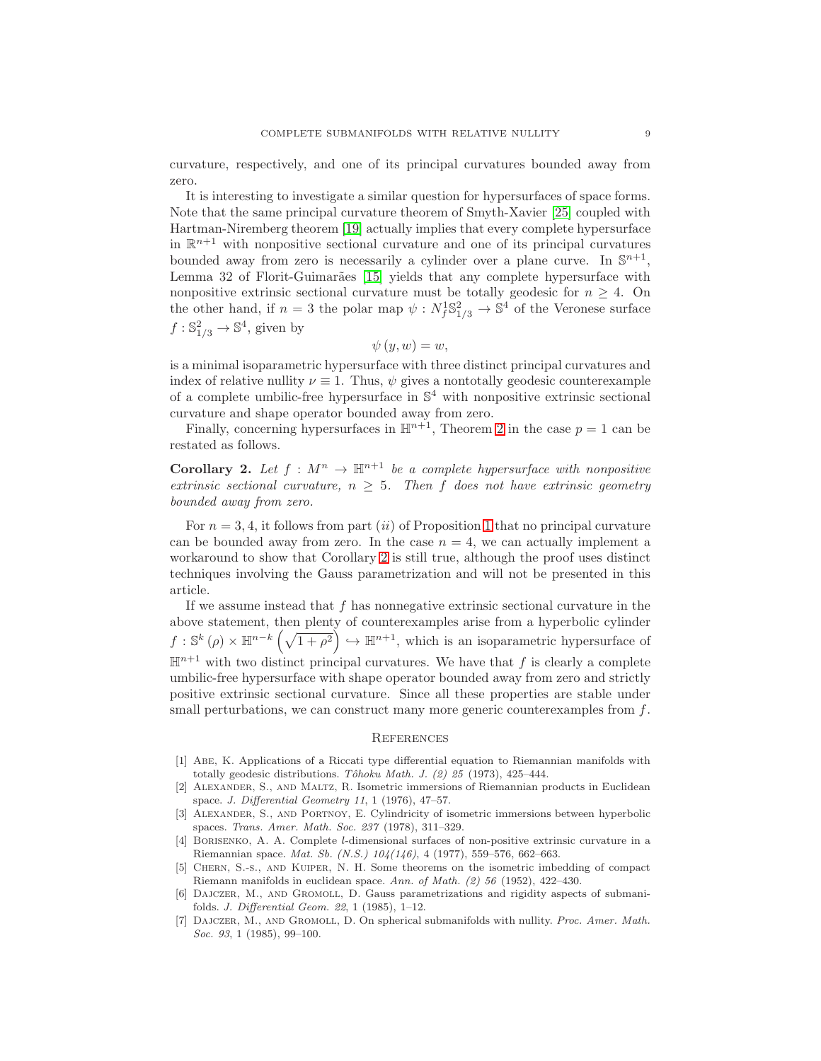curvature, respectively, and one of its principal curvatures bounded away from zero.

It is interesting to investigate a similar question for hypersurfaces of space forms. Note that the same principal curvature theorem of Smyth-Xavier [\[25\]](#page-9-16) coupled with Hartman-Niremberg theorem [\[19\]](#page-9-18) actually implies that every complete hypersurface in  $\mathbb{R}^{n+1}$  with nonpositive sectional curvature and one of its principal curvatures bounded away from zero is necessarily a cylinder over a plane curve. In  $\mathbb{S}^{n+1}$ , Lemma 32 of Florit-Guimarães [\[15\]](#page-9-9) yields that any complete hypersurface with nonpositive extrinsic sectional curvature must be totally geodesic for  $n \geq 4$ . On the other hand, if  $n=3$  the polar map  $\psi : N_f^1 \mathbb{S}^2_{1/3} \to \mathbb{S}^4$  of the Veronese surface  $f: \mathbb{S}^2_{1/3} \to \mathbb{S}^4$ , given by

$$
\psi\left( y,w\right) =w,
$$

is a minimal isoparametric hypersurface with three distinct principal curvatures and index of relative nullity  $\nu \equiv 1$ . Thus,  $\psi$  gives a nontotally geodesic counterexample of a complete umbilic-free hypersurface in  $\mathbb{S}^4$  with nonpositive extrinsic sectional curvature and shape operator bounded away from zero.

Finally, concerning hypersurfaces in  $\mathbb{H}^{n+1}$ , Theorem [2](#page-2-0) in the case  $p = 1$  can be restated as follows.

<span id="page-8-7"></span>**Corollary 2.** Let  $f : M^n \to \mathbb{H}^{n+1}$  be a complete hypersurface with nonpositive extrinsic sectional curvature,  $n \geq 5$ . Then f does not have extrinsic geometry bounded away from zero.

For  $n = 3, 4$ , it follows from part *(ii)* of Proposition [1](#page-4-4) that no principal curvature can be bounded away from zero. In the case  $n = 4$ , we can actually implement a workaround to show that Corollary [2](#page-8-7) is still true, although the proof uses distinct techniques involving the Gauss parametrization and will not be presented in this article.

If we assume instead that  $f$  has nonnegative extrinsic sectional curvature in the above statement, then plenty of counterexamples arise from a hyperbolic cylinder  $f: \mathbb{S}^k(\rho) \times \mathbb{H}^{n-k}(\sqrt{1+\rho^2}) \hookrightarrow \mathbb{H}^{n+1}$ , which is an isoparametric hypersurface of  $\mathbb{H}^{n+1}$  with two distinct principal curvatures. We have that f is clearly a complete umbilic-free hypersurface with shape operator bounded away from zero and strictly positive extrinsic sectional curvature. Since all these properties are stable under small perturbations, we can construct many more generic counterexamples from  $f$ .

#### **REFERENCES**

- <span id="page-8-2"></span>[1] Abe, K. Applications of a Riccati type differential equation to Riemannian manifolds with totally geodesic distributions. Tôhoku Math. J.  $(2)$  25 (1973), 425-444.
- <span id="page-8-3"></span>[2] Alexander, S., and Maltz, R. Isometric immersions of Riemannian products in Euclidean space. J. Differential Geometry 11, 1 (1976), 47–57.
- <span id="page-8-4"></span>[3] Alexander, S., and Portnoy, E. Cylindricity of isometric immersions between hyperbolic spaces. Trans. Amer. Math. Soc. 237 (1978), 311–329.
- <span id="page-8-5"></span>[4] Borisenko, A. A. Complete l-dimensional surfaces of non-positive extrinsic curvature in a Riemannian space. Mat. Sb. (N.S.) 104(146), 4 (1977), 559–576, 662–663.
- <span id="page-8-0"></span>[5] Chern, S.-s., and Kuiper, N. H. Some theorems on the isometric imbedding of compact Riemann manifolds in euclidean space. Ann. of Math. (2) 56 (1952), 422–430.
- <span id="page-8-1"></span>[6] Dajczer, M., and Gromoll, D. Gauss parametrizations and rigidity aspects of submanifolds. J. Differential Geom. 22, 1 (1985), 1–12.
- <span id="page-8-6"></span>[7] Dajczer, M., and Gromoll, D. On spherical submanifolds with nullity. Proc. Amer. Math. Soc. 93, 1 (1985), 99-100.